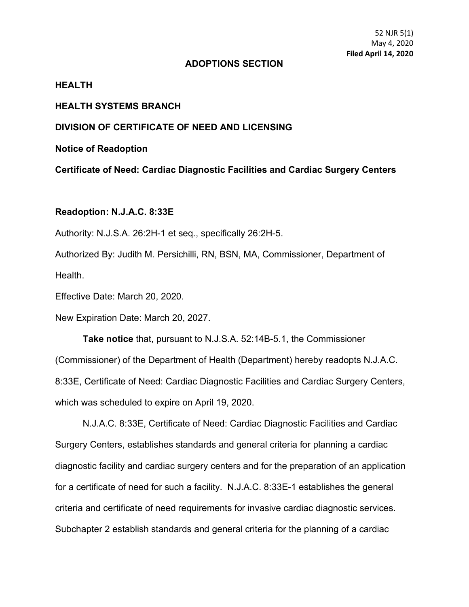#### **ADOPTIONS SECTION**

# **HEALTH**

#### **HEALTH SYSTEMS BRANCH**

# **DIVISION OF CERTIFICATE OF NEED AND LICENSING**

**Notice of Readoption**

**Certificate of Need: Cardiac Diagnostic Facilities and Cardiac Surgery Centers**

### **Readoption: N.J.A.C. 8:33E**

Authority: N.J.S.A. 26:2H-1 et seq., specifically 26:2H-5.

Authorized By: Judith M. Persichilli, RN, BSN, MA, Commissioner, Department of Health.

Effective Date: March 20, 2020.

New Expiration Date: March 20, 2027.

**Take notice** that, pursuant to N.J.S.A. 52:14B-5.1, the Commissioner (Commissioner) of the Department of Health (Department) hereby readopts N.J.A.C. 8:33E, Certificate of Need: Cardiac Diagnostic Facilities and Cardiac Surgery Centers, which was scheduled to expire on April 19, 2020.

N.J.A.C. 8:33E, Certificate of Need: Cardiac Diagnostic Facilities and Cardiac Surgery Centers, establishes standards and general criteria for planning a cardiac diagnostic facility and cardiac surgery centers and for the preparation of an application for a certificate of need for such a facility. N.J.A.C. 8:33E-1 establishes the general criteria and certificate of need requirements for invasive cardiac diagnostic services. Subchapter 2 establish standards and general criteria for the planning of a cardiac